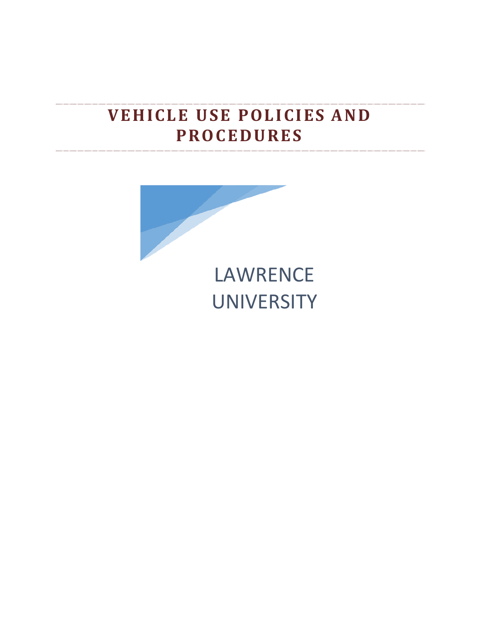# **VEHICLE USE POLICIES AND PR OCEDURES**

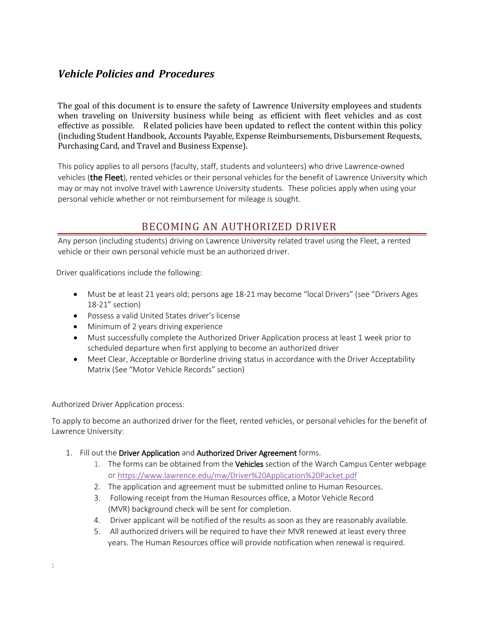# *Vehicle Policies and Procedures*

The goal of this document is to ensure the safety of Lawrence University employees and students when traveling on University business while being as efficient with fleet vehicles and as cost effective as possible. Related policies have been updated to reflect the content within this policy (including Student Handbook, Accounts Payable, Expense Reimbursements, Disbursement Requests, Purchasing Card, and Travel and Business Expense).

This policy applies to all persons (faculty, staff, students and volunteers) who drive Lawrence-owned vehicles (the Fleet), rented vehicles or their personal vehicles for the benefit of Lawrence University which may or may not involve travel with Lawrence University students. These policies apply when using your personal vehicle whether or not reimbursement for mileage is sought.

# BECOMING AN AUTHORIZED DRIVER

Any person (including students) driving on Lawrence University related travel using the Fleet, a rented vehicle or their own personal vehicle must be an authorized driver.

Driver qualifications include the following:

- Must be at least 21 years old; persons age 18-21 may become "local Drivers" (see "Drivers Ages 18-21" section)
- Possess a valid United States driver's license
- Minimum of 2 years driving experience
- Must successfully complete the Authorized Driver Application process at least 1 week prior to scheduled departure when first applying to become an authorized driver
- Meet Clear, Acceptable or Borderline driving status in accordance with the Driver Acceptability Matrix (See "Motor Vehicle Records" section)

Authorized Driver Application process:

:

To apply to become an authorized driver for the fleet, rented vehicles, or personal vehicles for the benefit of Lawrence University:

- 1. Fill out the Driver Application and Authorized Driver Agreement forms.
	- 1. The forms can be obtained from the Vehicles section of the Warch Campus Center webpage or <https://www.lawrence.edu/mw/Driver%20Application%20Packet.pdf>
	- 2. The application and agreement must be submitted online to Human Resources.
	- 3. Following receipt from the Human Resources office, a Motor Vehicle Record (MVR) background check will be sent for completion.
	- 4. Driver applicant will be notified of the results as soon as they are reasonably available.
	- 5. All authorized drivers will be required to have their MVR renewed at least every three years. The Human Resources office will provide notification when renewal is required.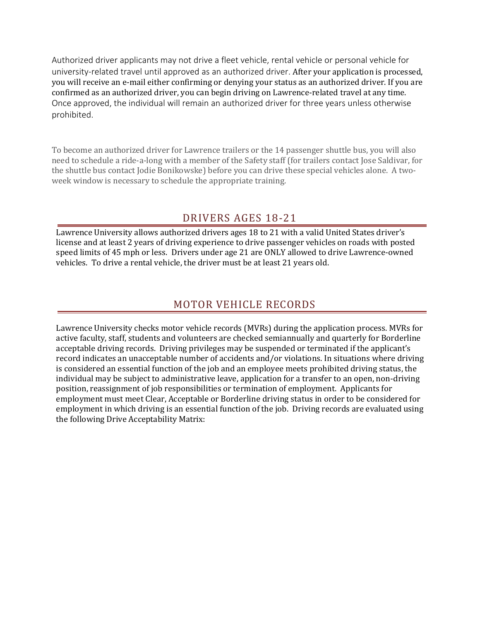Authorized driver applicants may not drive a fleet vehicle, rental vehicle or personal vehicle for university-related travel until approved as an authorized driver. After your application is processed, you will receive an e-mail either confirming or denying your status as an authorized driver. If you are confirmed as an authorized driver, you can begin driving on Lawrence-related travel at any time. Once approved, the individual will remain an authorized driver for three years unless otherwise prohibited.

To become an authorized driver for Lawrence trailers or the 14 passenger shuttle bus, you will also need to schedule a ride-a-long with a member of the Safety staff (for trailers contact Jose Saldivar, for the shuttle bus contact Jodie Bonikowske) before you can drive these special vehicles alone. A twoweek window is necessary to schedule the appropriate training.

#### DRIVERS AGES 18-21

Lawrence University allows authorized drivers ages 18 to 21 with a valid United States driver's license and at least 2 years of driving experience to drive passenger vehicles on roads with posted speed limits of 45 mph or less. Drivers under age 21 are ONLY allowed to drive Lawrence-owned vehicles. To drive a rental vehicle, the driver must be at least 21 years old.

#### MOTOR VEHICLE RECORDS

Lawrence University checks motor vehicle records (MVRs) during the application process. MVRs for active faculty, staff, students and volunteers are checked semiannually and quarterly for Borderline acceptable driving records. Driving privileges may be suspended or terminated if the applicant's record indicates an unacceptable number of accidents and/or violations. In situations where driving is considered an essential function of the job and an employee meets prohibited driving status, the individual may be subject to administrative leave, application for a transfer to an open, non-driving position, reassignment of job responsibilities or termination of employment. Applicants for employment must meet Clear, Acceptable or Borderline driving status in order to be considered for employment in which driving is an essential function of the job. Driving records are evaluated using the following Drive Acceptability Matrix: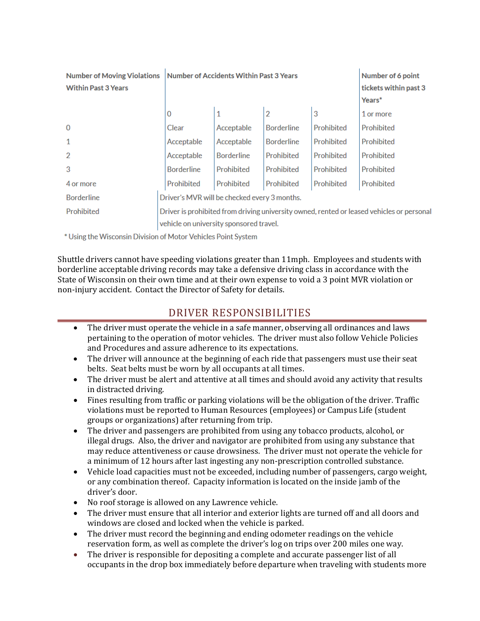| <b>Number of Moving Violations</b><br><b>Within Past 3 Years</b> | <b>Number of Accidents Within Past 3 Years</b>                                                                                       |                   |                   |            | Number of 6 point<br>tickets within past 3<br>Years* |
|------------------------------------------------------------------|--------------------------------------------------------------------------------------------------------------------------------------|-------------------|-------------------|------------|------------------------------------------------------|
|                                                                  | 0                                                                                                                                    | 1                 | 2                 | 3          | 1 or more                                            |
| $\Omega$                                                         | Clear                                                                                                                                | Acceptable        | <b>Borderline</b> | Prohibited | Prohibited                                           |
| $\mathbf{1}$                                                     | Acceptable                                                                                                                           | Acceptable        | <b>Borderline</b> | Prohibited | Prohibited                                           |
| $\mathcal{P}$                                                    | Acceptable                                                                                                                           | <b>Borderline</b> | Prohibited        | Prohibited | Prohibited                                           |
| 3                                                                | <b>Borderline</b>                                                                                                                    | Prohibited        | Prohibited        | Prohibited | Prohibited                                           |
| 4 or more                                                        | Prohibited                                                                                                                           | Prohibited        | Prohibited        | Prohibited | Prohibited                                           |
| <b>Borderline</b>                                                | Driver's MVR will be checked every 3 months.                                                                                         |                   |                   |            |                                                      |
| Prohibited                                                       | Driver is prohibited from driving university owned, rented or leased vehicles or personal<br>vehicle on university sponsored travel. |                   |                   |            |                                                      |
|                                                                  |                                                                                                                                      |                   |                   |            |                                                      |

\* Using the Wisconsin Division of Motor Vehicles Point System

Shuttle drivers cannot have speeding violations greater than 11mph. Employees and students with borderline acceptable driving records may take a defensive driving class in accordance with the State of Wisconsin on their own time and at their own expense to void a 3 point MVR violation or non-injury accident. Contact the Director of Safety for details.

#### DRIVER RESPONSIBILITIES

- The driver must operate the vehicle in a safe manner, observing all ordinances and laws pertaining to the operation of motor vehicles. The driver must also follow Vehicle Policies and Procedures and assure adherence to its expectations.
- The driver will announce at the beginning of each ride that passengers must use their seat belts. Seat belts must be worn by all occupants at all times.
- The driver must be alert and attentive at all times and should avoid any activity that results in distracted driving.
- Fines resulting from traffic or parking violations will be the obligation of the driver. Traffic violations must be reported to Human Resources (employees) or Campus Life (student groups or organizations) after returning from trip.
- The driver and passengers are prohibited from using any tobacco products, alcohol, or illegal drugs. Also, the driver and navigator are prohibited from using any substance that may reduce attentiveness or cause drowsiness. The driver must not operate the vehicle for a minimum of 12 hours after last ingesting any non-prescription controlled substance.
- Vehicle load capacities must not be exceeded, including number of passengers, cargo weight, or any combination thereof. Capacity information is located on the inside jamb of the driver's door.
- No roof storage is allowed on any Lawrence vehicle.
- The driver must ensure that all interior and exterior lights are turned off and all doors and windows are closed and locked when the vehicle is parked.
- The driver must record the beginning and ending odometer readings on the vehicle reservation form, as well as complete the driver's log on trips over 200 miles one way.
- The driver is responsible for depositing a complete and accurate passenger list of all occupants in the drop box immediately before departure when traveling with students more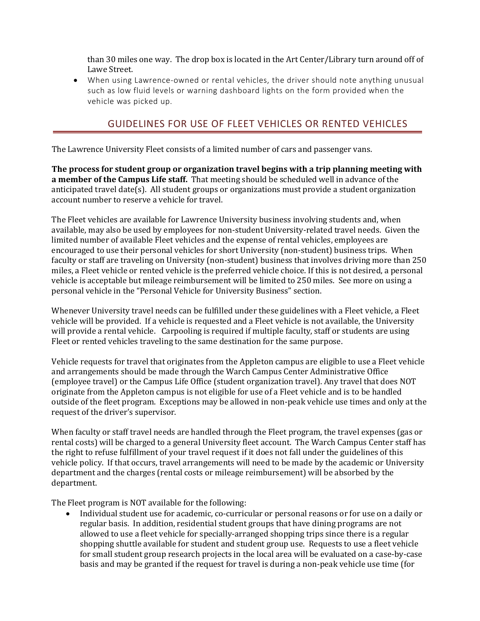than 30 miles one way. The drop box is located in the Art Center/Library turn around off of Lawe Street.

• When using Lawrence-owned or rental vehicles, the driver should note anything unusual such as low fluid levels or warning dashboard lights on the form provided when the vehicle was picked up.

#### GUIDELINES FOR USE OF FLEET VEHICLES OR RENTED VEHICLES

The Lawrence University Fleet consists of a limited number of cars and passenger vans.

**The process for student group or organization travel begins with a trip planning meeting with a member of the Campus Life staff.** That meeting should be scheduled well in advance of the anticipated travel date(s). All student groups or organizations must provide a student organization account number to reserve a vehicle for travel.

The Fleet vehicles are available for Lawrence University business involving students and, when available, may also be used by employees for non-student University-related travel needs. Given the limited number of available Fleet vehicles and the expense of rental vehicles, employees are encouraged to use their personal vehicles for short University (non-student) business trips. When faculty or staff are traveling on University (non-student) business that involves driving more than 250 miles, a Fleet vehicle or rented vehicle is the preferred vehicle choice. If this is not desired, a personal vehicle is acceptable but mileage reimbursement will be limited to 250 miles. See more on using a personal vehicle in the "Personal Vehicle for University Business" section.

Whenever University travel needs can be fulfilled under these guidelines with a Fleet vehicle, a Fleet vehicle will be provided. If a vehicle is requested and a Fleet vehicle is not available, the University will provide a rental vehicle. Carpooling is required if multiple faculty, staff or students are using Fleet or rented vehicles traveling to the same destination for the same purpose.

Vehicle requests for travel that originates from the Appleton campus are eligible to use a Fleet vehicle and arrangements should be made through the Warch Campus Center Administrative Office (employee travel) or the Campus Life Office (student organization travel). Any travel that does NOT originate from the Appleton campus is not eligible for use of a Fleet vehicle and is to be handled outside of the fleet program. Exceptions may be allowed in non-peak vehicle use times and only at the request of the driver's supervisor.

When faculty or staff travel needs are handled through the Fleet program, the travel expenses (gas or rental costs) will be charged to a general University fleet account. The Warch Campus Center staff has the right to refuse fulfillment of your travel request if it does not fall under the guidelines of this vehicle policy. If that occurs, travel arrangements will need to be made by the academic or University department and the charges (rental costs or mileage reimbursement) will be absorbed by the department.

The Fleet program is NOT available for the following:

• Individual student use for academic, co-curricular or personal reasons or for use on a daily or regular basis. In addition, residential student groups that have dining programs are not allowed to use a fleet vehicle for specially-arranged shopping trips since there is a regular shopping shuttle available for student and student group use. Requests to use a fleet vehicle for small student group research projects in the local area will be evaluated on a case-by-case basis and may be granted if the request for travel is during a non-peak vehicle use time (for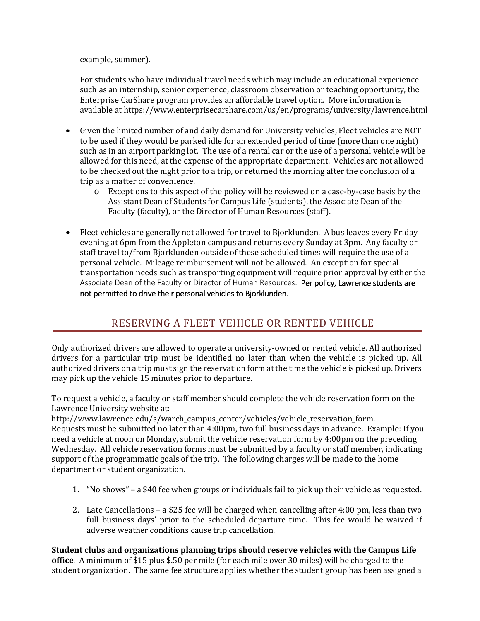example, summer).

For students who have individual travel needs which may include an educational experience such as an internship, senior experience, classroom observation or teaching opportunity, the Enterprise CarShare program provides an affordable travel option. More information is available at https://www.enterprisecarshare.com/us/en/programs/university/lawrence.html

- Given the limited number of and daily demand for University vehicles, Fleet vehicles are NOT to be used if they would be parked idle for an extended period of time (more than one night) such as in an airport parking lot. The use of a rental car or the use of a personal vehicle will be allowed for this need, at the expense of the appropriate department. Vehicles are not allowed to be checked out the night prior to a trip, or returned the morning after the conclusion of a trip as a matter of convenience.
	- o Exceptions to this aspect of the policy will be reviewed on a case-by-case basis by the Assistant Dean of Students for Campus Life (students), the Associate Dean of the Faculty (faculty), or the Director of Human Resources (staff).
- Fleet vehicles are generally not allowed for travel to Bjorklunden. A bus leaves every Friday evening at 6pm from the Appleton campus and returns every Sunday at 3pm. Any faculty or staff travel to/from Bjorklunden outside of these scheduled times will require the use of a personal vehicle. Mileage reimbursement will not be allowed. An exception for special transportation needs such as transporting equipment will require prior approval by either the Associate Dean of the Faculty or Director of Human Resources. Per policy, Lawrence students are not permitted to drive their personal vehicles to Bjorklunden.

# RESERVING A FLEET VEHICLE OR RENTED VEHICLE

Only authorized drivers are allowed to operate a university-owned or rented vehicle. All authorized drivers for a particular trip must be identified no later than when the vehicle is picked up. All authorized drivers on a trip must sign the reservation form at the time the vehicle is picked up. Drivers may pick up the vehicle 15 minutes prior to departure.

To request a vehicle, a faculty or staff member should complete the vehicle reservation form on the Lawrence University website at:

http://www.lawrence.edu/s/warch\_campus\_center/vehicles/vehicle\_reservation\_form. Requests must be submitted no later than 4:00pm, two full business days in advance. Example: If you need a vehicle at noon on Monday, submit the vehicle reservation form by 4:00pm on the preceding Wednesday. All vehicle reservation forms must be submitted by a faculty or staff member, indicating support of the programmatic goals of the trip. The following charges will be made to the home department or student organization.

- 1. "No shows" a \$40 fee when groups or individuals fail to pick up their vehicle as requested.
- 2. Late Cancellations a \$25 fee will be charged when cancelling after 4:00 pm, less than two full business days' prior to the scheduled departure time. This fee would be waived if adverse weather conditions cause trip cancellation.

**Student clubs and organizations planning trips should reserve vehicles with the Campus Life office**. A minimum of \$15 plus \$.50 per mile (for each mile over 30 miles) will be charged to the student organization. The same fee structure applies whether the student group has been assigned a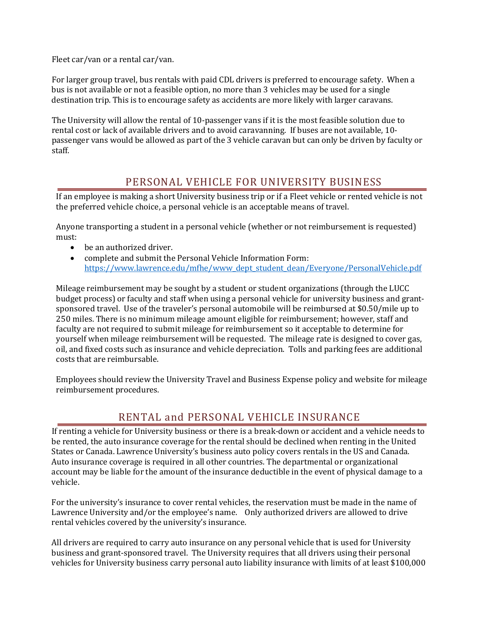Fleet car/van or a rental car/van.

For larger group travel, bus rentals with paid CDL drivers is preferred to encourage safety. When a bus is not available or not a feasible option, no more than 3 vehicles may be used for a single destination trip. This is to encourage safety as accidents are more likely with larger caravans.

The University will allow the rental of 10-passenger vans if it is the most feasible solution due to rental cost or lack of available drivers and to avoid caravanning. If buses are not available, 10 passenger vans would be allowed as part of the 3 vehicle caravan but can only be driven by faculty or staff.

#### PERSONAL VEHICLE FOR UNIVERSITY BUSINESS

If an employee is making a short University business trip or if a Fleet vehicle or rented vehicle is not the preferred vehicle choice, a personal vehicle is an acceptable means of travel.

Anyone transporting a student in a personal vehicle (whether or not reimbursement is requested) must:

- be an authorized driver.
- complete and submit the Personal Vehicle Information Form: [https://www.lawrence.edu/mfhe/www\\_dept\\_student\\_dean/Everyone/PersonalVehicle.pdf](https://www.lawrence.edu/mfhe/www_dept_student_dean/Everyone/PersonalVehicle.pdf)

Mileage reimbursement may be sought by a student or student organizations (through the LUCC budget process) or faculty and staff when using a personal vehicle for university business and grantsponsored travel. Use of the traveler's personal automobile will be reimbursed at \$0.50/mile up to 250 miles. There is no minimum mileage amount eligible for reimbursement; however, staff and faculty are not required to submit mileage for reimbursement so it acceptable to determine for yourself when mileage reimbursement will be requested. The mileage rate is designed to cover gas, oil, and fixed costs such as insurance and vehicle depreciation. Tolls and parking fees are additional costs that are reimbursable.

Employees should review the University Travel and Business Expense policy and website for mileage reimbursement procedures.

# RENTAL and PERSONAL VEHICLE INSURANCE

If renting a vehicle for University business or there is a break-down or accident and a vehicle needs to be rented, the auto insurance coverage for the rental should be declined when renting in the United States or Canada. Lawrence University's business auto policy covers rentals in the US and Canada. Auto insurance coverage is required in all other countries. The departmental or organizational account may be liable for the amount of the insurance deductible in the event of physical damage to a vehicle.

For the university's insurance to cover rental vehicles, the reservation must be made in the name of Lawrence University and/or the employee's name. Only authorized drivers are allowed to drive rental vehicles covered by the university's insurance.

All drivers are required to carry auto insurance on any personal vehicle that is used for University business and grant-sponsored travel. The University requires that all drivers using their personal vehicles for University business carry personal auto liability insurance with limits of at least \$100,000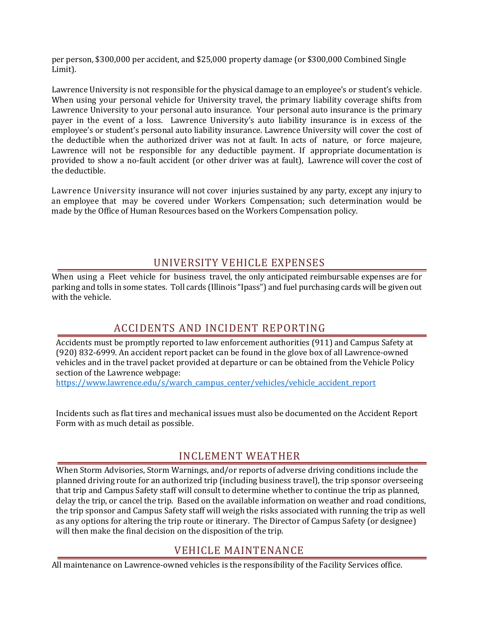per person, \$300,000 per accident, and \$25,000 property damage (or \$300,000 Combined Single Limit).

Lawrence University is not responsible for the physical damage to an employee's or student's vehicle. When using your personal vehicle for University travel, the primary liability coverage shifts from Lawrence University to your personal auto insurance. Your personal auto insurance is the primary payer in the event of a loss. Lawrence University's auto liability insurance is in excess of the employee's or student's personal auto liability insurance. Lawrence University will cover the cost of the deductible when the authorized driver was not at fault. In acts of nature, or force majeure, Lawrence will not be responsible for any deductible payment. If appropriate documentation is provided to show a no-fault accident (or other driver was at fault), Lawrence will cover the cost of the deductible.

Lawrence University insurance will not cover injuries sustained by any party, except any injury to an employee that may be covered under Workers Compensation; such determination would be made by the Office of Human Resources based on the Workers Compensation policy.

#### UNIVERSITY VEHICLE EXPENSES

When using a Fleet vehicle for business travel, the only anticipated reimbursable expenses are for parking and tolls in some states. Toll cards (Illinois "Ipass") and fuel purchasing cards will be given out with the vehicle.

#### ACCIDENTS AND INCIDENT REPORTING

Accidents must be promptly reported to law enforcement authorities (911) and Campus Safety at (920) 832-6999. An accident report packet can be found in the glove box of all Lawrence-owned vehicles and in the travel packet provided at departure or can be obtained from the Vehicle Policy section of the Lawrence webpage:

[https://www.lawrence.edu/s/warch\\_campus\\_center/vehicles/vehicle\\_accident\\_report](https://www.lawrence.edu/s/warch_campus_center/vehicles/vehicle_accident_report)

Incidents such as flat tires and mechanical issues must also be documented on the Accident Report Form with as much detail as possible.

# INCLEMENT WEATHER

When Storm Advisories, Storm Warnings, and/or reports of adverse driving conditions include the planned driving route for an authorized trip (including business travel), the trip sponsor overseeing that trip and Campus Safety staff will consult to determine whether to continue the trip as planned, delay the trip, or cancel the trip. Based on the available information on weather and road conditions, the trip sponsor and Campus Safety staff will weigh the risks associated with running the trip as well as any options for altering the trip route or itinerary. The Director of Campus Safety (or designee) will then make the final decision on the disposition of the trip.

#### VEHICLE MAINTENANCE

All maintenance on Lawrence-owned vehicles is the responsibility of the Facility Services office.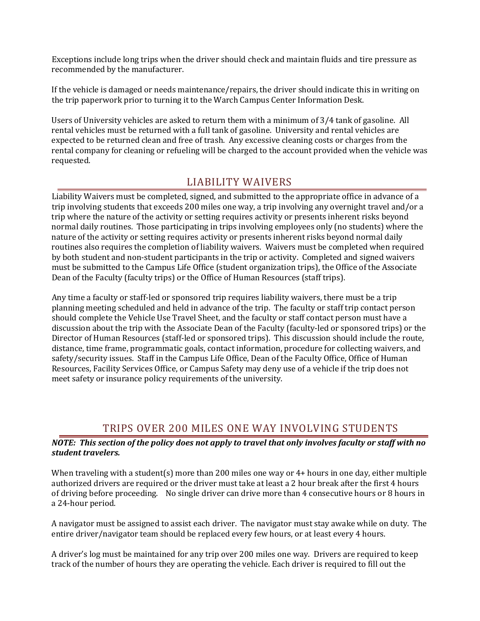Exceptions include long trips when the driver should check and maintain fluids and tire pressure as recommended by the manufacturer.

If the vehicle is damaged or needs maintenance/repairs, the driver should indicate this in writing on the trip paperwork prior to turning it to the Warch Campus Center Information Desk.

Users of University vehicles are asked to return them with a minimum of 3/4 tank of gasoline. All rental vehicles must be returned with a full tank of gasoline. University and rental vehicles are expected to be returned clean and free of trash. Any excessive cleaning costs or charges from the rental company for cleaning or refueling will be charged to the account provided when the vehicle was requested.

#### LIABILITY WAIVERS

Liability Waivers must be completed, signed, and submitted to the appropriate office in advance of a trip involving students that exceeds 200 miles one way, a trip involving any overnight travel and/or a trip where the nature of the activity or setting requires activity or presents inherent risks beyond normal daily routines. Those participating in trips involving employees only (no students) where the nature of the activity or setting requires activity or presents inherent risks beyond normal daily routines also requires the completion of liability waivers. Waivers must be completed when required by both student and non-student participants in the trip or activity. Completed and signed waivers must be submitted to the Campus Life Office (student organization trips), the Office of the Associate Dean of the Faculty (faculty trips) or the Office of Human Resources (staff trips).

Any time a faculty or staff-led or sponsored trip requires liability waivers, there must be a trip planning meeting scheduled and held in advance of the trip. The faculty or staff trip contact person should complete the Vehicle Use Travel Sheet, and the faculty or staff contact person must have a discussion about the trip with the Associate Dean of the Faculty (faculty-led or sponsored trips) or the Director of Human Resources (staff-led or sponsored trips). This discussion should include the route, distance, time frame, programmatic goals, contact information, procedure for collecting waivers, and safety/security issues. Staff in the Campus Life Office, Dean of the Faculty Office, Office of Human Resources, Facility Services Office, or Campus Safety may deny use of a vehicle if the trip does not meet safety or insurance policy requirements of the university.

# TRIPS OVER 200 MILES ONE WAY INVOLVING STUDENTS

#### *NOTE: This section of the policy does not apply to travel that only involves faculty or staff with no student travelers.*

When traveling with a student(s) more than 200 miles one way or  $4+$  hours in one day, either multiple authorized drivers are required or the driver must take at least a 2 hour break after the first 4 hours of driving before proceeding. No single driver can drive more than 4 consecutive hours or 8 hours in a 24-hour period.

A navigator must be assigned to assist each driver. The navigator must stay awake while on duty. The entire driver/navigator team should be replaced every few hours, or at least every 4 hours.

A driver's log must be maintained for any trip over 200 miles one way. Drivers are required to keep track of the number of hours they are operating the vehicle. Each driver is required to fill out the